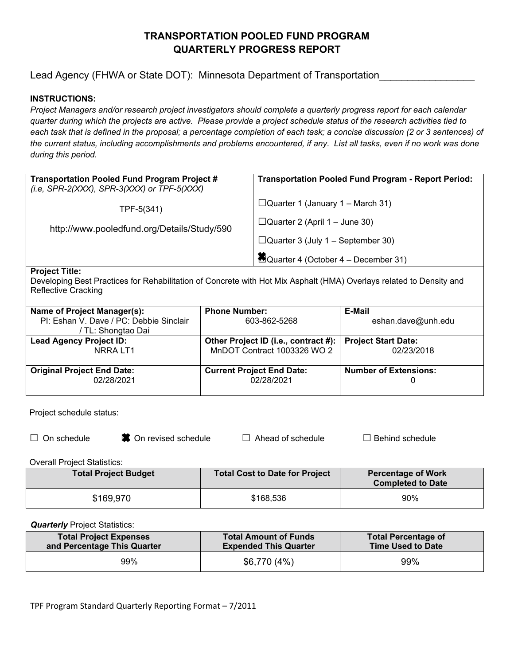# **TRANSPORTATION POOLED FUND PROGRAM QUARTERLY PROGRESS REPORT**

# Lead Agency (FHWA or State DOT): Minnesota Department of Transportation

## **INSTRUCTIONS:**

*Project Managers and/or research project investigators should complete a quarterly progress report for each calendar quarter during which the projects are active. Please provide a project schedule status of the research activities tied to each task that is defined in the proposal; a percentage completion of each task; a concise discussion (2 or 3 sentences) of the current status, including accomplishments and problems encountered, if any. List all tasks, even if no work was done during this period.* 

| <b>Transportation Pooled Fund Program Project #</b><br>(i.e, SPR-2(XXX), SPR-3(XXX) or TPF-5(XXX) | <b>Transportation Pooled Fund Program - Report Period:</b> |
|---------------------------------------------------------------------------------------------------|------------------------------------------------------------|
| TPF-5(341)                                                                                        | $\Box$ Quarter 1 (January 1 – March 31)                    |
| http://www.pooledfund.org/Details/Study/590                                                       | $\Box$ Quarter 2 (April 1 – June 30)                       |
|                                                                                                   | $\Box$ Quarter 3 (July 1 – September 30)                   |
|                                                                                                   | Quarter 4 (October 4 – December 31)                        |
| $B = 1 - 1$                                                                                       |                                                            |

#### **Project Title:**

Developing Best Practices for Rehabilitation of Concrete with Hot Mix Asphalt (HMA) Overlays related to Density and Reflective Cracking

| Name of Project Manager(s):             | <b>Phone Number:</b>                                       | E-Mail                       |
|-----------------------------------------|------------------------------------------------------------|------------------------------|
| PI: Eshan V. Dave / PC: Debbie Sinclair | 603-862-5268                                               | eshan.dave@unh.edu           |
| / TL: Shongtao Dai                      |                                                            |                              |
| <b>Lead Agency Project ID:</b>          | Other Project ID (i.e., contract #):   Project Start Date: |                              |
| NRRA LT1                                | MnDOT Contract 1003326 WO 2                                | 02/23/2018                   |
|                                         |                                                            |                              |
| <b>Original Project End Date:</b>       | <b>Current Project End Date:</b>                           | <b>Number of Extensions:</b> |
| 02/28/2021                              | 02/28/2021                                                 |                              |
|                                         |                                                            |                              |

Project schedule status:

|  |  |  | $\Box$ On schedule |
|--|--|--|--------------------|
|--|--|--|--------------------|

 $\bullet$  ● ●  $\bullet$  On revised schedule  $□$  Ahead of schedule  $□$  Behind schedule

Overall Project Statistics:

| <b>Total Project Budget</b> | <b>Total Cost to Date for Project</b> | <b>Percentage of Work</b><br><b>Completed to Date</b> |
|-----------------------------|---------------------------------------|-------------------------------------------------------|
| \$169,970                   | \$168,536                             | 90%                                                   |

*Quarterly* Project Statistics:

| <b>Total Project Expenses</b> | <b>Total Amount of Funds</b> | <b>Total Percentage of</b> |
|-------------------------------|------------------------------|----------------------------|
| and Percentage This Quarter   | <b>Expended This Quarter</b> | <b>Time Used to Date</b>   |
| 99%                           | \$6,770 (4%)                 | 99%                        |

TPF Program Standard Quarterly Reporting Format – 7/2011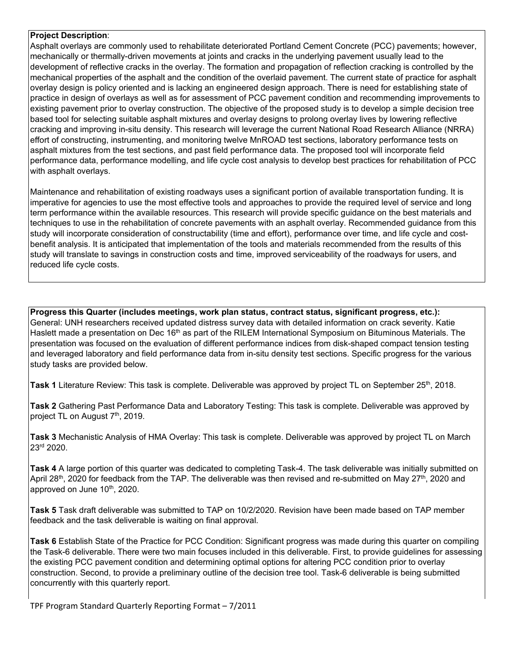#### **Project Description**:

Asphalt overlays are commonly used to rehabilitate deteriorated Portland Cement Concrete (PCC) pavements; however, mechanically or thermally-driven movements at joints and cracks in the underlying pavement usually lead to the development of reflective cracks in the overlay. The formation and propagation of reflection cracking is controlled by the mechanical properties of the asphalt and the condition of the overlaid pavement. The current state of practice for asphalt overlay design is policy oriented and is lacking an engineered design approach. There is need for establishing state of practice in design of overlays as well as for assessment of PCC pavement condition and recommending improvements to existing pavement prior to overlay construction. The objective of the proposed study is to develop a simple decision tree based tool for selecting suitable asphalt mixtures and overlay designs to prolong overlay lives by lowering reflective cracking and improving in-situ density. This research will leverage the current National Road Research Alliance (NRRA) effort of constructing, instrumenting, and monitoring twelve MnROAD test sections, laboratory performance tests on asphalt mixtures from the test sections, and past field performance data. The proposed tool will incorporate field performance data, performance modelling, and life cycle cost analysis to develop best practices for rehabilitation of PCC with asphalt overlays.

Maintenance and rehabilitation of existing roadways uses a significant portion of available transportation funding. It is imperative for agencies to use the most effective tools and approaches to provide the required level of service and long term performance within the available resources. This research will provide specific guidance on the best materials and techniques to use in the rehabilitation of concrete pavements with an asphalt overlay. Recommended guidance from this study will incorporate consideration of constructability (time and effort), performance over time, and life cycle and costbenefit analysis. It is anticipated that implementation of the tools and materials recommended from the results of this study will translate to savings in construction costs and time, improved serviceability of the roadways for users, and reduced life cycle costs.

**Progress this Quarter (includes meetings, work plan status, contract status, significant progress, etc.):** General: UNH researchers received updated distress survey data with detailed information on crack severity. Katie Haslett made a presentation on Dec 16<sup>th</sup> as part of the RILEM International Symposium on Bituminous Materials. The presentation was focused on the evaluation of different performance indices from disk-shaped compact tension testing and leveraged laboratory and field performance data from in-situ density test sections. Specific progress for the various study tasks are provided below.

**Task 1** Literature Review: This task is complete. Deliverable was approved by project TL on September 25<sup>th</sup>, 2018.

**Task 2** Gathering Past Performance Data and Laboratory Testing: This task is complete. Deliverable was approved by project TL on August 7<sup>th</sup>, 2019.

**Task 3** Mechanistic Analysis of HMA Overlay: This task is complete. Deliverable was approved by project TL on March 23rd 2020.

**Task 4** A large portion of this quarter was dedicated to completing Task-4. The task deliverable was initially submitted on April 28<sup>th</sup>, 2020 for feedback from the TAP. The deliverable was then revised and re-submitted on May 27<sup>th</sup>, 2020 and approved on June 10<sup>th</sup>, 2020.

**Task 5** Task draft deliverable was submitted to TAP on 10/2/2020. Revision have been made based on TAP member feedback and the task deliverable is waiting on final approval.

**Task 6** Establish State of the Practice for PCC Condition: Significant progress was made during this quarter on compiling the Task-6 deliverable. There were two main focuses included in this deliverable. First, to provide guidelines for assessing the existing PCC pavement condition and determining optimal options for altering PCC condition prior to overlay construction. Second, to provide a preliminary outline of the decision tree tool. Task-6 deliverable is being submitted concurrently with this quarterly report.

TPF Program Standard Quarterly Reporting Format – 7/2011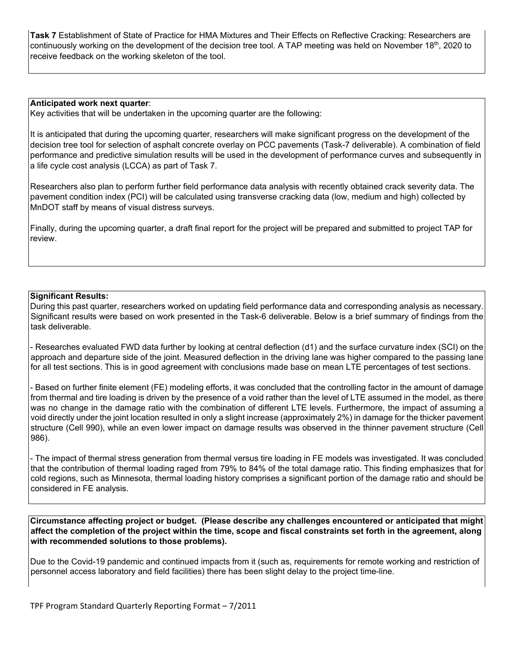**Task 7** Establishment of State of Practice for HMA Mixtures and Their Effects on Reflective Cracking: Researchers are continuously working on the development of the decision tree tool. A TAP meeting was held on November 18<sup>th</sup>, 2020 to receive feedback on the working skeleton of the tool.

#### **Anticipated work next quarter**:

Key activities that will be undertaken in the upcoming quarter are the following:

It is anticipated that during the upcoming quarter, researchers will make significant progress on the development of the decision tree tool for selection of asphalt concrete overlay on PCC pavements (Task-7 deliverable). A combination of field performance and predictive simulation results will be used in the development of performance curves and subsequently in a life cycle cost analysis (LCCA) as part of Task 7.

Researchers also plan to perform further field performance data analysis with recently obtained crack severity data. The pavement condition index (PCI) will be calculated using transverse cracking data (low, medium and high) collected by MnDOT staff by means of visual distress surveys.

Finally, during the upcoming quarter, a draft final report for the project will be prepared and submitted to project TAP for review.

#### **Significant Results:**

During this past quarter, researchers worked on updating field performance data and corresponding analysis as necessary. Significant results were based on work presented in the Task-6 deliverable. Below is a brief summary of findings from the task deliverable.

- Researches evaluated FWD data further by looking at central deflection (d1) and the surface curvature index (SCI) on the approach and departure side of the joint. Measured deflection in the driving lane was higher compared to the passing lane for all test sections. This is in good agreement with conclusions made base on mean LTE percentages of test sections.

- Based on further finite element (FE) modeling efforts, it was concluded that the controlling factor in the amount of damage from thermal and tire loading is driven by the presence of a void rather than the level of LTE assumed in the model, as there was no change in the damage ratio with the combination of different LTE levels. Furthermore, the impact of assuming a void directly under the joint location resulted in only a slight increase (approximately 2%) in damage for the thicker pavement structure (Cell 990), while an even lower impact on damage results was observed in the thinner pavement structure (Cell 986).

- The impact of thermal stress generation from thermal versus tire loading in FE models was investigated. It was concluded that the contribution of thermal loading raged from 79% to 84% of the total damage ratio. This finding emphasizes that for cold regions, such as Minnesota, thermal loading history comprises a significant portion of the damage ratio and should be considered in FE analysis.

**Circumstance affecting project or budget. (Please describe any challenges encountered or anticipated that might affect the completion of the project within the time, scope and fiscal constraints set forth in the agreement, along with recommended solutions to those problems).** 

Due to the Covid-19 pandemic and continued impacts from it (such as, requirements for remote working and restriction of personnel access laboratory and field facilities) there has been slight delay to the project time-line.